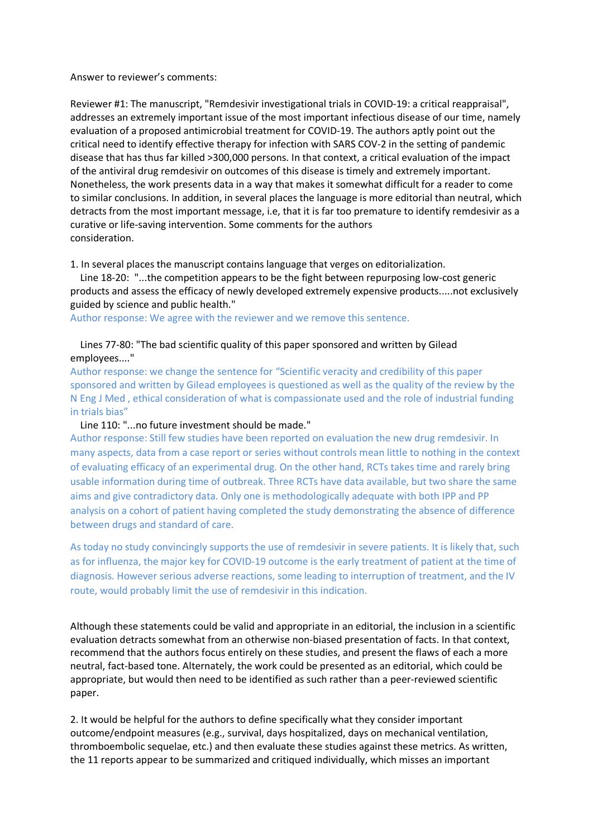## Answer to reviewer's comments:

Reviewer #1: The manuscript, "Remdesivir investigational trials in COVID-19: a critical reappraisal", addresses an extremely important issue of the most important infectious disease of our time, namely evaluation of a proposed antimicrobial treatment for COVID-19. The authors aptly point out the critical need to identify effective therapy for infection with SARS COV-2 in the setting of pandemic disease that has thus far killed >300,000 persons. In that context, a critical evaluation of the impact of the antiviral drug remdesivir on outcomes of this disease is timely and extremely important. Nonetheless, the work presents data in a way that makes it somewhat difficult for a reader to come to similar conclusions. In addition, in several places the language is more editorial than neutral, which detracts from the most important message, i.e, that it is far too premature to identify remdesivir as a curative or life-saving intervention. Some comments for the authors consideration.

1. In several places the manuscript contains language that verges on editorialization.

 Line 18-20: "...the competition appears to be the fight between repurposing low-cost generic products and assess the efficacy of newly developed extremely expensive products.....not exclusively guided by science and public health."

Author response: We agree with the reviewer and we remove this sentence.

## Lines 77-80: "The bad scientific quality of this paper sponsored and written by Gilead employees...."

Author response: we change the sentence for "Scientific veracity and credibility of this paper sponsored and written by Gilead employees is questioned as well as the quality of the review by the N Eng J Med , ethical consideration of what is compassionate used and the role of industrial funding in trials bias"

## Line 110: "...no future investment should be made."

Author response: Still few studies have been reported on evaluation the new drug remdesivir. In many aspects, data from a case report or series without controls mean little to nothing in the context of evaluating efficacy of an experimental drug. On the other hand, RCTs takes time and rarely bring usable information during time of outbreak. Three RCTs have data available, but two share the same aims and give contradictory data. Only one is methodologically adequate with both IPP and PP analysis on a cohort of patient having completed the study demonstrating the absence of difference between drugs and standard of care.

As today no study convincingly supports the use of remdesivir in severe patients. It is likely that, such as for influenza, the major key for COVID-19 outcome is the early treatment of patient at the time of diagnosis. However serious adverse reactions, some leading to interruption of treatment, and the IV route, would probably limit the use of remdesivir in this indication.

Although these statements could be valid and appropriate in an editorial, the inclusion in a scientific evaluation detracts somewhat from an otherwise non-biased presentation of facts. In that context, recommend that the authors focus entirely on these studies, and present the flaws of each a more neutral, fact-based tone. Alternately, the work could be presented as an editorial, which could be appropriate, but would then need to be identified as such rather than a peer-reviewed scientific paper.

2. It would be helpful for the authors to define specifically what they consider important outcome/endpoint measures (e.g., survival, days hospitalized, days on mechanical ventilation, thromboembolic sequelae, etc.) and then evaluate these studies against these metrics. As written, the 11 reports appear to be summarized and critiqued individually, which misses an important